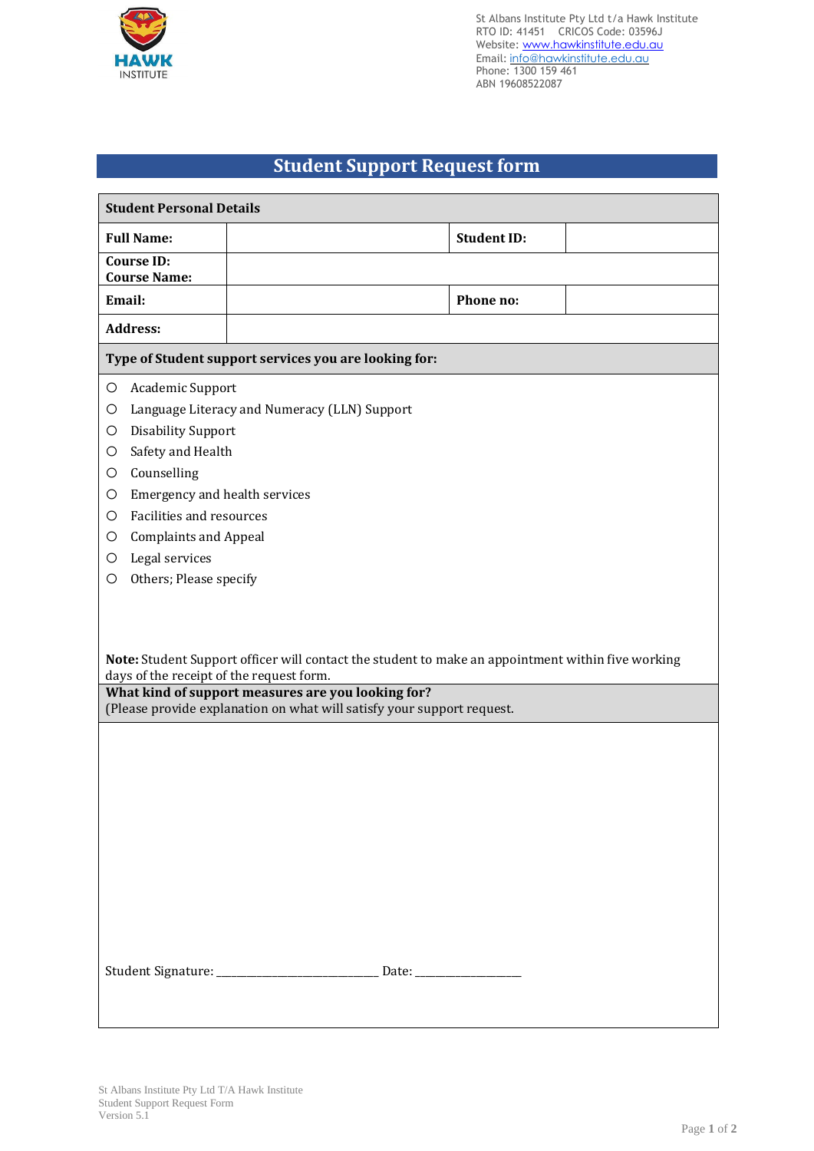

St Albans Institute Pty Ltd t/a Hawk Institute RTO ID: 41451 CRICOS Code: 03596J Website: www.hawkinstitute.edu.au Email: [info@hawkinstitute.edu.au](mailto:info@hawkinstitute.edu.au) Phone: 1300 159 461 ABN 19608522087

## **Student Support Request form**

| <b>Student Personal Details</b>                                                                                                                                                                                                                                                                                                |                                                                                                                                                                                                                                                                                   |                    |  |  |
|--------------------------------------------------------------------------------------------------------------------------------------------------------------------------------------------------------------------------------------------------------------------------------------------------------------------------------|-----------------------------------------------------------------------------------------------------------------------------------------------------------------------------------------------------------------------------------------------------------------------------------|--------------------|--|--|
| <b>Full Name:</b>                                                                                                                                                                                                                                                                                                              |                                                                                                                                                                                                                                                                                   | <b>Student ID:</b> |  |  |
| <b>Course ID:</b><br><b>Course Name:</b>                                                                                                                                                                                                                                                                                       |                                                                                                                                                                                                                                                                                   |                    |  |  |
| Email:                                                                                                                                                                                                                                                                                                                         |                                                                                                                                                                                                                                                                                   | Phone no:          |  |  |
| <b>Address:</b>                                                                                                                                                                                                                                                                                                                |                                                                                                                                                                                                                                                                                   |                    |  |  |
| Type of Student support services you are looking for:                                                                                                                                                                                                                                                                          |                                                                                                                                                                                                                                                                                   |                    |  |  |
| Academic Support<br>O<br>O<br><b>Disability Support</b><br>O<br>Safety and Health<br>O<br>Counselling<br>$\circ$<br>Emergency and health services<br>O<br>Facilities and resources<br>O<br><b>Complaints and Appeal</b><br>O<br>Legal services<br>O<br>Others; Please specify<br>O<br>days of the receipt of the request form. | Language Literacy and Numeracy (LLN) Support<br>Note: Student Support officer will contact the student to make an appointment within five working<br>What kind of support measures are you looking for?<br>(Please provide explanation on what will satisfy your support request. |                    |  |  |
| Student Signature: ___________________________ Date: ___________________________                                                                                                                                                                                                                                               |                                                                                                                                                                                                                                                                                   |                    |  |  |